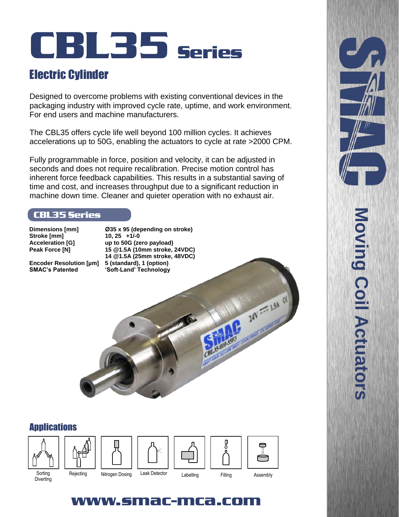# CBL35 Series

# Electric Cylinder

Designed to overcome problems with existing conventional devices in the packaging industry with improved cycle rate, uptime, and work environment. For end users and machine manufacturers.

The CBL35 offers cycle life well beyond 100 million cycles. It achieves accelerations up to 50G, enabling the actuators to cycle at rate >2000 CPM.

Fully programmable in force, position and velocity, it can be adjusted in seconds and does not require recalibration. Precise motion control has inherent force feedback capabilities. This results in a substantial saving of time and cost, and increases throughput due to a significant reduction in machine down time. Cleaner and quieter operation with no exhaust air.

### CBL35 Series

**Stroke [mm] 10, 25 +1/-0**

**Dimensions [mm] Ø35 x 95 (depending on stroke) Acceleration [G] up to 50G (zero payload) Peak Force [N] 15 @1.5A (10mm stroke, 24VDC) 14 @1.5A (25mm stroke, 48VDC)** 'Soft-Land' Technology

California California Report Follows

**Encoder Resolution [µm] 5 (standard), 1 (option)**



# **Moving Coil Actuators Moving Coil Actuators**

# www.smac-mca.co